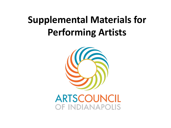# **Supplemental Materials for Performing Artists**



**ARTSCOUNCIL** OF INDIANAPOLIS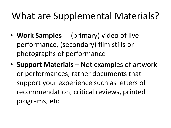### What are Supplemental Materials?

- **Work Samples**  (primary) video of live performance, (secondary) film stills or photographs of performance
- **Support Materials**  Not examples of artwork or performances, rather documents that support your experience such as letters of recommendation, critical reviews, printed programs, etc.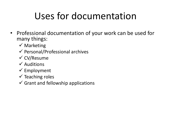# Uses for documentation

- Professional documentation of your work can be used for many things:
	- $\checkmark$  Marketing
	- $\checkmark$  Personal/Professional archives
	- $\checkmark$  CV/Resume
	- $\checkmark$  Auditions
	- $\checkmark$  Employment
	- $\checkmark$  Teaching roles
	- $\checkmark$  Grant and fellowship applications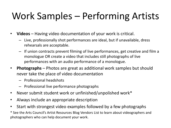# Work Samples – Performing Artists

- **Videos** Having video documentation of your work is critical.
	- Live, professionally shot performances are ideal, but if unavailable, dress rehearsals are acceptable.
	- If union contracts prevent filming of live performances, get creative and film a monologue OR create a video that includes still photographs of live performances with an audio performance of a monologue.
- **Photographs** Photos are great as additional work samples but should never take the place of video documentation
	- Professional headshots
	- Professional live performance photographs
- Never submit student work or unfinished/unpolished work\*
- Always include an appropriate description
- Start with strongest video examples followed by a few photographs

\* See the Arts Council's Artist Resources Blog Vendors List to learn about videographers and photographers who can help document your work.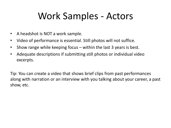### Work Samples - Actors

- A headshot is NOT a work sample.
- Video of performance is essential. Still photos will not suffice.
- Show range while keeping focus within the last 3 years is best.
- Adequate descriptions if submitting still photos or individual video excerpts.

Tip: You can create a video that shows brief clips from past performances along with narration or an interview with you talking about your career, a past show, etc.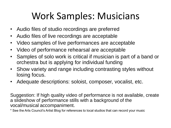### Work Samples: Musicians

- Audio files of studio recordings are preferred
- Audio files of live recordings are acceptable
- Video samples of live performances are acceptable
- Video of performance rehearsal are acceptable
- Samples of solo work is critical if musician is part of a band or orchestra but is applying for individual funding
- Show variety and range including contrasting styles without losing focus.
- Adequate descriptions: soloist, composer, vocalist, etc.

Suggestion: If high quality video of performance is not available, create a slideshow of performance stills with a background of the vocal/musical accompaniment.

\* See the Arts Council's Artist Blog for references to local studios that can record your music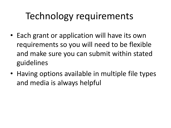# Technology requirements

- Each grant or application will have its own requirements so you will need to be flexible and make sure you can submit within stated guidelines
- Having options available in multiple file types and media is always helpful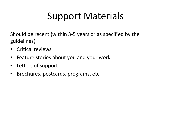# Support Materials

Should be recent (within 3-5 years or as specified by the guidelines)

- Critical reviews
- Feature stories about you and your work
- Letters of support
- Brochures, postcards, programs, etc.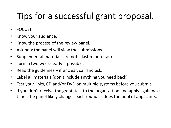#### Tips for a successful grant proposal.

- FOCUS!
- Know your audience.
- Know the process of the review panel.
- Ask how the panel will view the submissions.
- Supplemental materials are not a last minute task.
- Turn in two weeks early if possible.
- Read the guidelines if unclear, call and ask.
- Label all materials (don't include anything you need back)
- Test your links, CD and/or DVD on multiple systems before you submit.
- If you don't receive the grant, talk to the organization and apply again next time. The panel likely changes each round as does the pool of applicants.